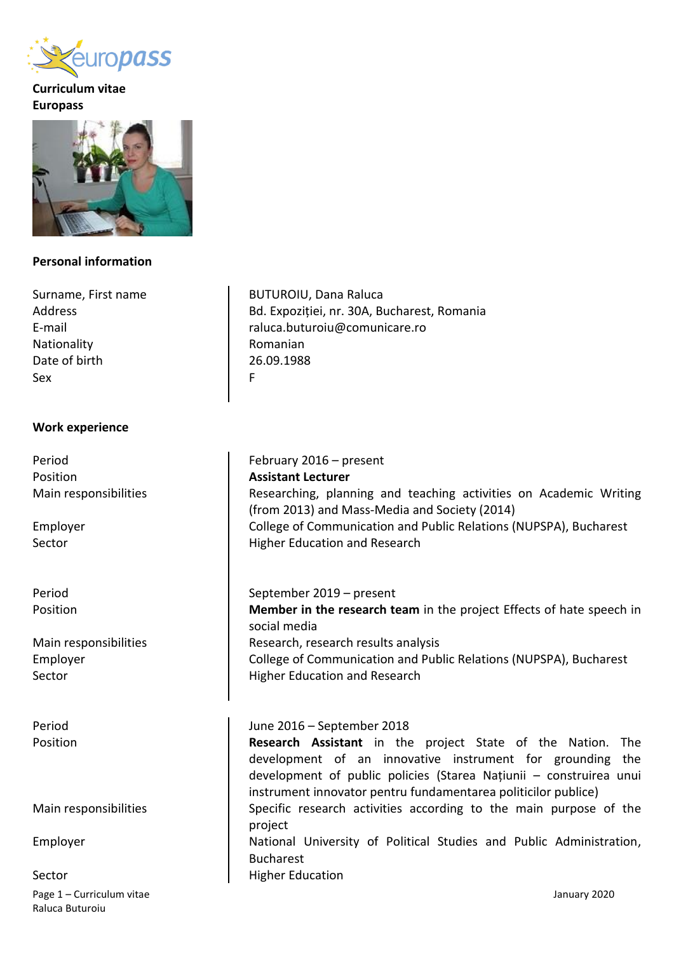

# **Curriculum vitae Europass**



# **Personal information**

Surname, First name Address E-mail Nationality Date of birth Sex

#### **Work experience**

Period Position Main responsibilities

Employer Sector

Period Position

Main responsibilities Employer Sector

Period Position

Main responsibilities

Employer

Page 1 – Curriculum vitae January 2020 Raluca Buturoiu Sector

BUTUROIU, Dana Raluca Bd. Expoziției, nr. 30A, Bucharest, Romania raluca.buturoiu@comunicare.ro Romanian 26.09.1988 F

February 2016 – present **Assistant Lecturer** Researching, planning and teaching activities on Academic Writing (from 2013) and Mass-Media and Society (2014) College of Communication and Public Relations (NUPSPA), Bucharest Higher Education and Research

September 2019 – present **Member in the research team** in the project Effects of hate speech in social media Research, research results analysis College of Communication and Public Relations (NUPSPA), Bucharest Higher Education and Research

### June 2016 – September 2018

**Research Assistant** in the project State of the Nation. The development of an innovative instrument for grounding the development of public policies (Starea Națiunii – construirea unui instrument innovator pentru fundamentarea politicilor publice) Specific research activities according to the main purpose of the project National University of Political Studies and Public Administration, Bucharest Higher Education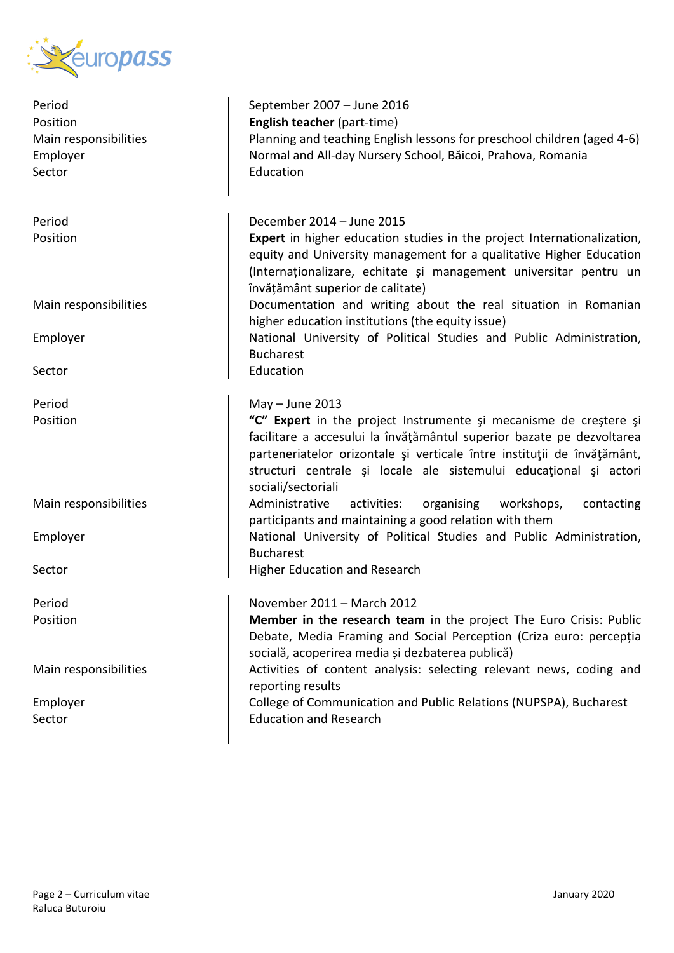

| Period<br>Position<br>Main responsibilities<br>Employer<br>Sector | September 2007 - June 2016<br>English teacher (part-time)<br>Planning and teaching English lessons for preschool children (aged 4-6)<br>Normal and All-day Nursery School, Băicoi, Prahova, Romania<br>Education                                                                                                 |
|-------------------------------------------------------------------|------------------------------------------------------------------------------------------------------------------------------------------------------------------------------------------------------------------------------------------------------------------------------------------------------------------|
| Period                                                            | December 2014 - June 2015                                                                                                                                                                                                                                                                                        |
| Position                                                          | Expert in higher education studies in the project Internationalization,<br>equity and University management for a qualitative Higher Education<br>(Internaționalizare, echitate și management universitar pentru un<br>învățământ superior de calitate)                                                          |
| Main responsibilities                                             | Documentation and writing about the real situation in Romanian<br>higher education institutions (the equity issue)                                                                                                                                                                                               |
| Employer                                                          | National University of Political Studies and Public Administration,<br><b>Bucharest</b>                                                                                                                                                                                                                          |
| Sector                                                            | Education                                                                                                                                                                                                                                                                                                        |
| Period                                                            | $May - June 2013$                                                                                                                                                                                                                                                                                                |
| Position                                                          | "C" Expert in the project Instrumente și mecanisme de creștere și<br>facilitare a accesului la învățământul superior bazate pe dezvoltarea<br>parteneriatelor orizontale și verticale între instituții de învățământ,<br>structuri centrale și locale ale sistemului educațional și actori<br>sociali/sectoriali |
| Main responsibilities                                             | Administrative<br>activities:<br>organising<br>workshops,<br>contacting<br>participants and maintaining a good relation with them                                                                                                                                                                                |
| Employer                                                          | National University of Political Studies and Public Administration,<br><b>Bucharest</b>                                                                                                                                                                                                                          |
| Sector                                                            | Higher Education and Research                                                                                                                                                                                                                                                                                    |
| Period                                                            | November 2011 - March 2012                                                                                                                                                                                                                                                                                       |
| Position                                                          | Member in the research team in the project The Euro Crisis: Public<br>Debate, Media Framing and Social Perception (Criza euro: percepția<br>socială, acoperirea media și dezbaterea publică)                                                                                                                     |
| Main responsibilities                                             | Activities of content analysis: selecting relevant news, coding and<br>reporting results                                                                                                                                                                                                                         |
| Employer                                                          | College of Communication and Public Relations (NUPSPA), Bucharest                                                                                                                                                                                                                                                |
| Sector                                                            | <b>Education and Research</b>                                                                                                                                                                                                                                                                                    |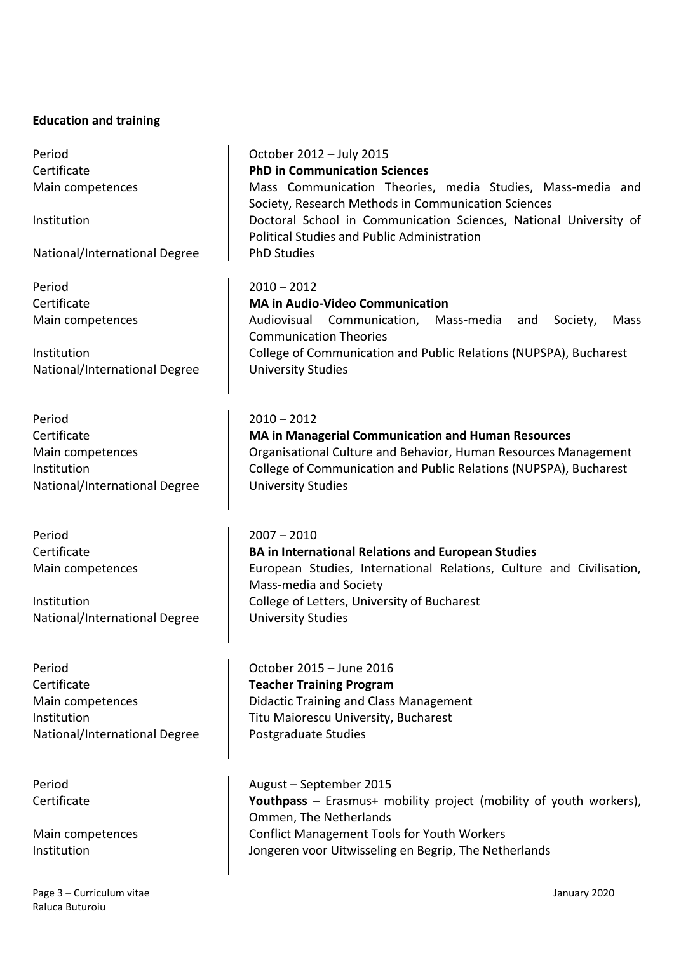#### **Education and training**

Period Certificate Main competences

Institution

National/International Degree

Period Certificate Main competences

**Institution** National/International Degree

Period **Certificate** Main competences Institution National/International Degree

Period Certificate Main competences

Institution National/International Degree

Period **Certificate** Main competences Institution National/International Degree

Period Certificate

Main competences Institution

October 2012 – July 2015 **PhD in Communication Sciences**  Mass Communication Theories, media Studies, Mass-media and Society, Research Methods in Communication Sciences Doctoral School in Communication Sciences, National University of Political Studies and Public Administration PhD Studies

 $2010 - 2012$ **MA in Audio-Video Communication** Audiovisual Communication, Mass-media and Society, Mass Communication Theories College of Communication and Public Relations (NUPSPA), Bucharest University Studies

# $2010 - 2012$

**MA in Managerial Communication and Human Resources** Organisational Culture and Behavior, Human Resources Management College of Communication and Public Relations (NUPSPA), Bucharest University Studies

#### 2007 – 2010

**BA in International Relations and European Studies** European Studies, International Relations, Culture and Civilisation, Mass-media and Society College of Letters, University of Bucharest University Studies

October 2015 – June 2016 **Teacher Training Program** Didactic Training and Class Management Titu Maiorescu University, Bucharest Postgraduate Studies

August – September 2015 **Youthpass** – Erasmus+ mobility project (mobility of youth workers), Ommen, The Netherlands Conflict Management Tools for Youth Workers Jongeren voor Uitwisseling en Begrip, The Netherlands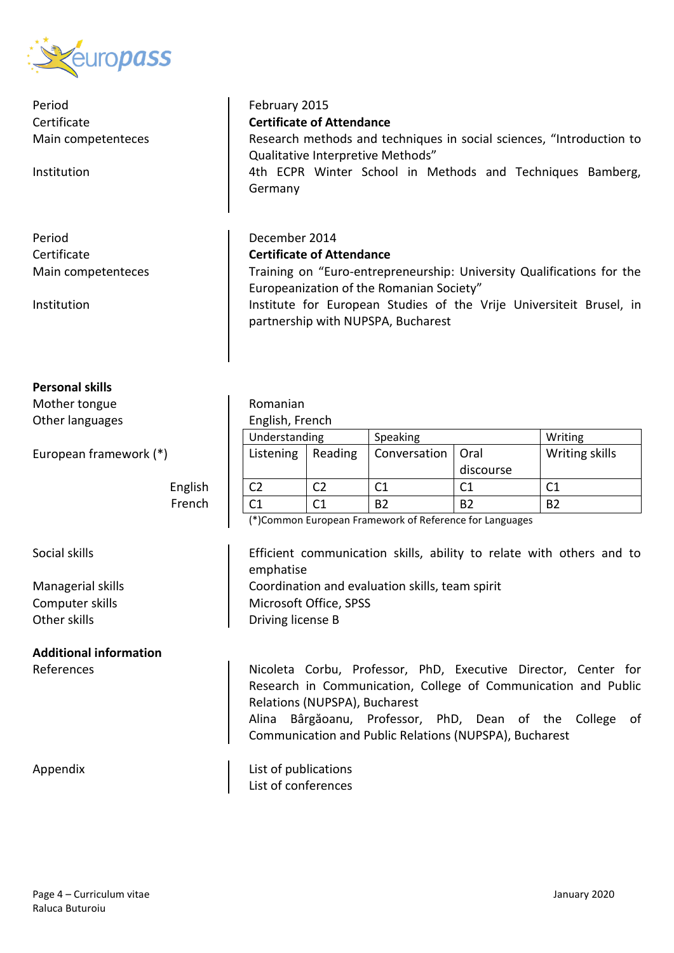

Period **Certificate** Main competenteces

Institution

Period Certificate Main competenteces

Institution

# **Personal skills**

Mother tongue Other languages

European framework (\*)

English French

Social skills

Managerial skills Computer skills Other skills

**Additional information**

# February 2015

**Certificate of Attendance**

Research methods and techniques in social sciences, "Introduction to Qualitative Interpretive Methods"

4th ECPR Winter School in Methods and Techniques Bamberg, Germany

# December 2014

# **Certificate of Attendance**

Training on "Euro-entrepreneurship: University Qualifications for the Europeanization of the Romanian Society"

Institute for European Studies of the Vrije Universiteit Brusel, in partnership with NUPSPA, Bucharest

| Romanian        |  |  |  |  |
|-----------------|--|--|--|--|
| English, French |  |  |  |  |

| Understanding |         | Speaking            |           | Writing        |
|---------------|---------|---------------------|-----------|----------------|
| Listening     | Reading | Conversation   Oral |           | Writing skills |
|               |         |                     | discourse |                |
|               |         |                     |           |                |
|               |         | R2                  | R2        | R7             |

(\*)Common European Framework of Reference for Languages

Efficient communication skills, ability to relate with others and to emphatise Coordination and evaluation skills, team spirit Microsoft Office, SPSS Driving license B

References **Nicoleta Corbu, Professor, PhD, Executive Director, Center for** Research in Communication, College of Communication and Public Relations (NUPSPA), Bucharest Alina Bârgăoanu, Professor, PhD, Dean of the College of Communication and Public Relations (NUPSPA), Bucharest

Appendix and List of publications List of conferences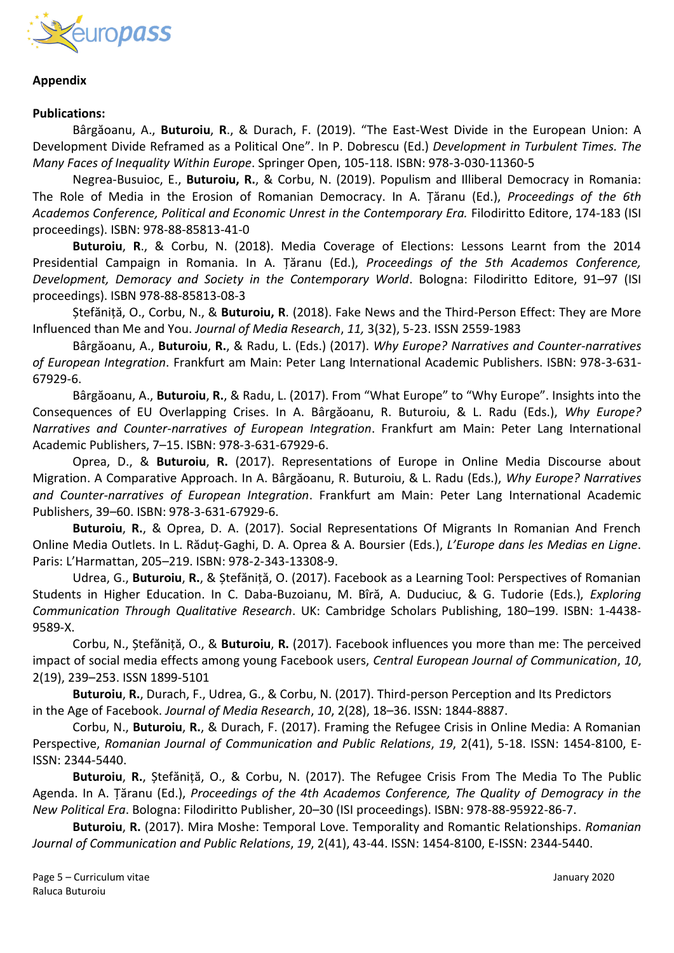

### **Appendix**

#### **Publications:**

Bârgăoanu, A., **Buturoiu**, **R**., & Durach, F. (2019). "The East-West Divide in the European Union: A Development Divide Reframed as a Political One". In P. Dobrescu (Ed.) *Development in Turbulent Times. The Many Faces of Inequality Within Europe*. Springer Open, 105-118. ISBN: 978-3-030-11360-5

Negrea-Busuioc, E., **Buturoiu, R.**, & Corbu, N. (2019). Populism and Illiberal Democracy in Romania: The Role of Media in the Erosion of Romanian Democracy. In A. Țăranu (Ed.), *Proceedings of the 6th Academos Conference, Political and Economic Unrest in the Contemporary Era.* Filodiritto Editore, 174-183 (ISI proceedings). ISBN: 978-88-85813-41-0

**Buturoiu**, **R**., & Corbu, N. (2018). Media Coverage of Elections: Lessons Learnt from the 2014 Presidential Campaign in Romania. In A. Țăranu (Ed.), *Proceedings of the 5th Academos Conference, Development, Demoracy and Society in the Contemporary World*. Bologna: Filodiritto Editore, 91–97 (ISI proceedings). ISBN 978-88-85813-08-3

Ștefăniță, O., Corbu, N., & **Buturoiu, R**. (2018). Fake News and the Third-Person Effect: They are More Influenced than Me and You. *Journal of Media Research*, *11,* 3(32), 5-23. ISSN 2559-1983

Bârgăoanu, A., **Buturoiu**, **R.**, & Radu, L. (Eds.) (2017). *Why Europe? Narratives and Counter-narratives of European Integration*. Frankfurt am Main: Peter Lang International Academic Publishers. ISBN: 978-3-631- 67929-6.

Bârgăoanu, A., **Buturoiu**, **R.**, & Radu, L. (2017). From "What Europe" to "Why Europe". Insights into the Consequences of EU Overlapping Crises. In A. Bârgăoanu, R. Buturoiu, & L. Radu (Eds.), *Why Europe? Narratives and Counter-narratives of European Integration*. Frankfurt am Main: Peter Lang International Academic Publishers, 7–15. ISBN: 978-3-631-67929-6.

Oprea, D., & **Buturoiu**, **R.** (2017). Representations of Europe in Online Media Discourse about Migration. A Comparative Approach. In A. Bârgăoanu, R. Buturoiu, & L. Radu (Eds.), *Why Europe? Narratives and Counter-narratives of European Integration*. Frankfurt am Main: Peter Lang International Academic Publishers, 39–60. ISBN: 978-3-631-67929-6.

**Buturoiu**, **R.**, & Oprea, D. A. (2017). Social Representations Of Migrants In Romanian And French Online Media Outlets. In L. Răduț-Gaghi, D. A. Oprea & A. Boursier (Eds.), *L'Europe dans les Medias en Ligne*. Paris: L'Harmattan, 205–219. ISBN: 978-2-343-13308-9.

Udrea, G., **Buturoiu**, **R.**, & Ștefăniță, O. (2017). Facebook as a Learning Tool: Perspectives of Romanian Students in Higher Education. In C. Daba-Buzoianu, M. Bîră, A. Duduciuc, & G. Tudorie (Eds.), *Exploring Communication Through Qualitative Research*. UK: Cambridge Scholars Publishing, 180–199. ISBN: 1-4438- 9589-X.

Corbu, N., Ștefăniță, O., & **Buturoiu**, **R.** (2017). Facebook influences you more than me: The perceived impact of social media effects among young Facebook users, *Central European Journal of Communication*, *10*, 2(19), 239–253. ISSN 1899-5101

**Buturoiu**, **R.**, Durach, F., Udrea, G., & Corbu, N. (2017). Third-person Perception and Its Predictors in the Age of Facebook. *Journal of Media Research*, *10*, 2(28), 18–36. ISSN: 1844-8887.

Corbu, N., **Buturoiu**, **R.**, & Durach, F. (2017). Framing the Refugee Crisis in Online Media: A Romanian Perspective, *Romanian Journal of Communication and Public Relations*, *19*, 2(41), 5-18. ISSN: 1454-8100, E-ISSN: 2344-5440.

**Buturoiu**, **R.**, Ștefăniță, O., & Corbu, N. (2017). The Refugee Crisis From The Media To The Public Agenda. In A. Țăranu (Ed.), *Proceedings of the 4th Academos Conference, The Quality of Demogracy in the New Political Era*. Bologna: Filodiritto Publisher, 20–30 (ISI proceedings). ISBN: 978-88-95922-86-7.

**Buturoiu**, **R.** (2017). Mira Moshe: Temporal Love. Temporality and Romantic Relationships. *Romanian Journal of Communication and Public Relations*, *19*, 2(41), 43-44. ISSN: 1454-8100, E-ISSN: 2344-5440.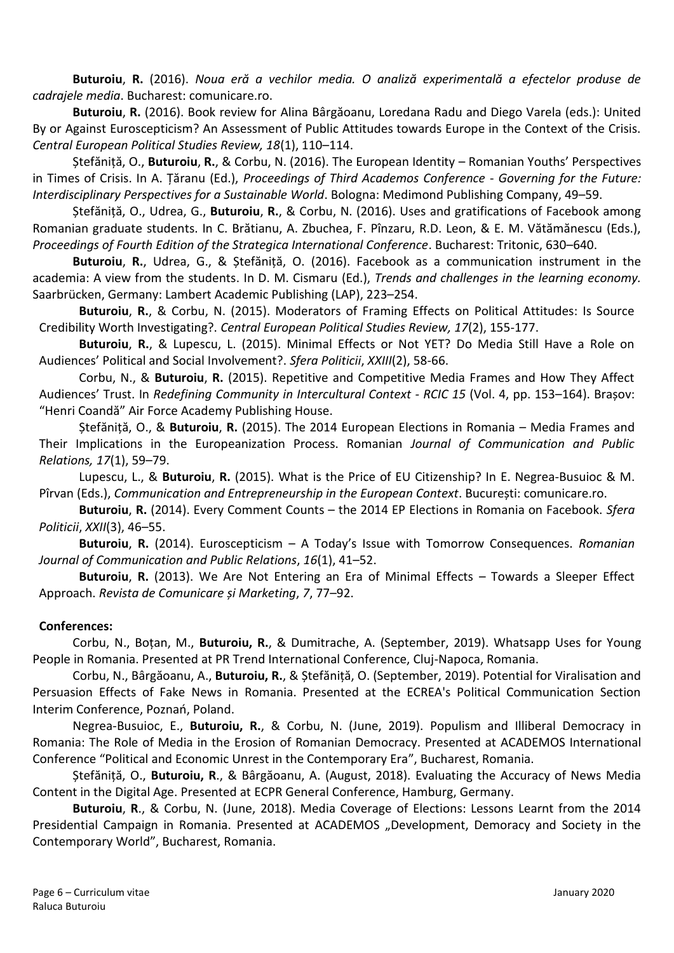**Buturoiu**, **R.** (2016). *Noua eră a vechilor media. O analiză experimentală a efectelor produse de cadrajele media*. Bucharest: comunicare.ro.

**Buturoiu**, **R.** (2016). Book review for Alina Bârgăoanu, Loredana Radu and Diego Varela (eds.): United By or Against Euroscepticism? An Assessment of Public Attitudes towards Europe in the Context of the Crisis. *Central European Political Studies Review, 18*(1), 110–114.

Ștefăniță, O., **Buturoiu**, **R.**, & Corbu, N. (2016). The European Identity – Romanian Youths' Perspectives in Times of Crisis. In A. Țăranu (Ed.), *Proceedings of Third Academos Conference* - *Governing for the Future: Interdisciplinary Perspectives for a Sustainable World*. Bologna: Medimond Publishing Company, 49–59.

Ștefăniță, O., Udrea, G., **Buturoiu**, **R.**, & Corbu, N. (2016). Uses and gratifications of Facebook among Romanian graduate students. In C. Brătianu, A. Zbuchea, F. Pînzaru, R.D. Leon, & E. M. Vătămănescu (Eds.), *Proceedings of Fourth Edition of the Strategica International Conference*. Bucharest: Tritonic, 630–640.

**Buturoiu**, **R.**, Udrea, G., & Ștefăniță, O. (2016). Facebook as a communication instrument in the academia: A view from the students. In D. M. Cismaru (Ed.), *Trends and challenges in the learning economy.*  Saarbrücken, Germany: Lambert Academic Publishing (LAP), 223–254.

**Buturoiu**, **R.**, & Corbu, N. (2015). Moderators of Framing Effects on Political Attitudes: Is Source Credibility Worth Investigating?. *Central European Political Studies Review, 17*(2), 155-177.

**Buturoiu**, **R.**, & Lupescu, L. (2015). Minimal Effects or Not YET? Do Media Still Have a Role on Audiences' Political and Social Involvement?. *Sfera Politicii*, *XXIII*(2), 58-66.

Corbu, N., & **Buturoiu**, **R.** (2015). Repetitive and Competitive Media Frames and How They Affect Audiences' Trust. In *Redefining Community in Intercultural Context - RCIC 15* (Vol. 4, pp. 153–164). Brașov: "Henri Coandă" Air Force Academy Publishing House.

Ștefăniță, O., & **Buturoiu**, **R.** (2015). The 2014 European Elections in Romania – Media Frames and Their Implications in the Europeanization Process. Romanian *Journal of Communication and Public Relations, 17*(1), 59–79.

Lupescu, L., & **Buturoiu**, **R.** (2015). What is the Price of EU Citizenship? In E. Negrea-Busuioc & M. Pîrvan (Eds.), *Communication and Entrepreneurship in the European Context*. București: comunicare.ro.

**Buturoiu**, **R.** (2014). Every Comment Counts – the 2014 EP Elections in Romania on Facebook. *Sfera Politicii*, *XXII*(3), 46–55.

**Buturoiu**, **R.** (2014). Euroscepticism – A Today's Issue with Tomorrow Consequences. *Romanian Journal of Communication and Public Relations*, *16*(1), 41–52.

**Buturoiu**, **R.** (2013). We Are Not Entering an Era of Minimal Effects – Towards a Sleeper Effect Approach. *Revista de Comunicare și Marketing*, *7*, 77–92.

### **Conferences:**

Corbu, N., Boțan, M., **Buturoiu, R.**, & Dumitrache, A. (September, 2019). Whatsapp Uses for Young People in Romania. Presented at PR Trend International Conference, Cluj-Napoca, Romania.

Corbu, N., Bârgăoanu, A., **Buturoiu, R.**, & Ștefăniță, O. (September, 2019). Potential for Viralisation and Persuasion Effects of Fake News in Romania. Presented at the ECREA's Political Communication Section Interim Conference, Poznań, Poland.

Negrea-Busuioc, E., **Buturoiu, R.**, & Corbu, N. (June, 2019). Populism and Illiberal Democracy in Romania: The Role of Media in the Erosion of Romanian Democracy. Presented at ACADEMOS International Conference "Political and Economic Unrest in the Contemporary Era", Bucharest, Romania.

Ștefăniță, O., **Buturoiu, R**., & Bârgăoanu, A. (August, 2018). Evaluating the Accuracy of News Media Content in the Digital Age. Presented at ECPR General Conference, Hamburg, Germany.

**Buturoiu**, **R**., & Corbu, N. (June, 2018). Media Coverage of Elections: Lessons Learnt from the 2014 Presidential Campaign in Romania. Presented at ACADEMOS "Development, Demoracy and Society in the Contemporary World", Bucharest, Romania.